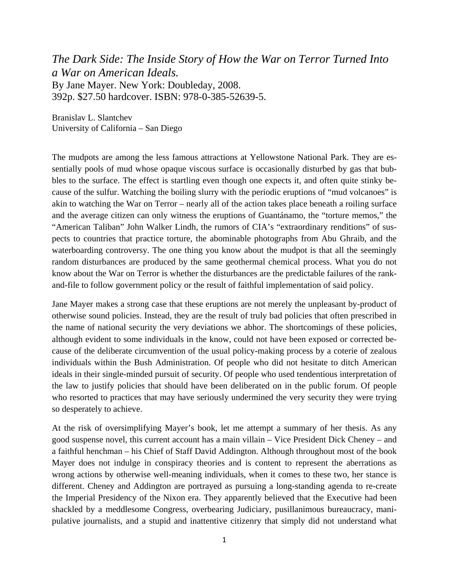*The Dark Side: The Inside Story of How the War on Terror Turned Into a War on American Ideals.* By Jane Mayer. New York: Doubleday, 2008. 392p. \$27.50 hardcover. ISBN: 978-0-385-52639-5.

Branislav L. Slantchev University of California – San Diego

The mudpots are among the less famous attractions at Yellowstone National Park. They are essentially pools of mud whose opaque viscous surface is occasionally disturbed by gas that bubbles to the surface. The effect is startling even though one expects it, and often quite stinky because of the sulfur. Watching the boiling slurry with the periodic eruptions of "mud volcanoes" is akin to watching the War on Terror – nearly all of the action takes place beneath a roiling surface and the average citizen can only witness the eruptions of Guantánamo, the "torture memos," the "American Taliban" John Walker Lindh, the rumors of CIA's "extraordinary renditions" of suspects to countries that practice torture, the abominable photographs from Abu Ghraib, and the waterboarding controversy. The one thing you know about the mudpot is that all the seemingly random disturbances are produced by the same geothermal chemical process. What you do not know about the War on Terror is whether the disturbances are the predictable failures of the rankand-file to follow government policy or the result of faithful implementation of said policy.

Jane Mayer makes a strong case that these eruptions are not merely the unpleasant by-product of otherwise sound policies. Instead, they are the result of truly bad policies that often prescribed in the name of national security the very deviations we abhor. The shortcomings of these policies, although evident to some individuals in the know, could not have been exposed or corrected because of the deliberate circumvention of the usual policy-making process by a coterie of zealous individuals within the Bush Administration. Of people who did not hesitate to ditch American ideals in their single-minded pursuit of security. Of people who used tendentious interpretation of the law to justify policies that should have been deliberated on in the public forum. Of people who resorted to practices that may have seriously undermined the very security they were trying so desperately to achieve.

At the risk of oversimplifying Mayer's book, let me attempt a summary of her thesis. As any good suspense novel, this current account has a main villain – Vice President Dick Cheney – and a faithful henchman – his Chief of Staff David Addington. Although throughout most of the book Mayer does not indulge in conspiracy theories and is content to represent the aberrations as wrong actions by otherwise well-meaning individuals, when it comes to these two, her stance is different. Cheney and Addington are portrayed as pursuing a long-standing agenda to re-create the Imperial Presidency of the Nixon era. They apparently believed that the Executive had been shackled by a meddlesome Congress, overbearing Judiciary, pusillanimous bureaucracy, manipulative journalists, and a stupid and inattentive citizenry that simply did not understand what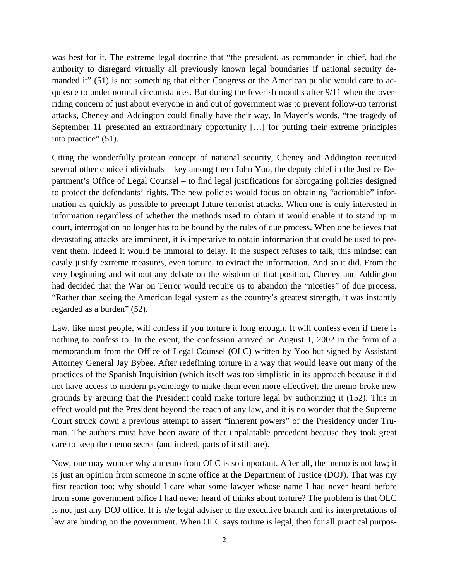was best for it. The extreme legal doctrine that "the president, as commander in chief, had the authority to disregard virtually all previously known legal boundaries if national security demanded it" (51) is not something that either Congress or the American public would care to acquiesce to under normal circumstances. But during the feverish months after 9/11 when the overriding concern of just about everyone in and out of government was to prevent follow-up terrorist attacks, Cheney and Addington could finally have their way. In Mayer's words, "the tragedy of September 11 presented an extraordinary opportunity […] for putting their extreme principles into practice" (51).

Citing the wonderfully protean concept of national security, Cheney and Addington recruited several other choice individuals – key among them John Yoo, the deputy chief in the Justice Department's Office of Legal Counsel – to find legal justifications for abrogating policies designed to protect the defendants' rights. The new policies would focus on obtaining "actionable" information as quickly as possible to preempt future terrorist attacks. When one is only interested in information regardless of whether the methods used to obtain it would enable it to stand up in court, interrogation no longer has to be bound by the rules of due process. When one believes that devastating attacks are imminent, it is imperative to obtain information that could be used to prevent them. Indeed it would be immoral to delay. If the suspect refuses to talk, this mindset can easily justify extreme measures, even torture, to extract the information. And so it did. From the very beginning and without any debate on the wisdom of that position, Cheney and Addington had decided that the War on Terror would require us to abandon the "niceties" of due process. "Rather than seeing the American legal system as the country's greatest strength, it was instantly regarded as a burden" (52).

Law, like most people, will confess if you torture it long enough. It will confess even if there is nothing to confess to. In the event, the confession arrived on August 1, 2002 in the form of a memorandum from the Office of Legal Counsel (OLC) written by Yoo but signed by Assistant Attorney General Jay Bybee. After redefining torture in a way that would leave out many of the practices of the Spanish Inquisition (which itself was too simplistic in its approach because it did not have access to modern psychology to make them even more effective), the memo broke new grounds by arguing that the President could make torture legal by authorizing it (152). This in effect would put the President beyond the reach of any law, and it is no wonder that the Supreme Court struck down a previous attempt to assert "inherent powers" of the Presidency under Truman. The authors must have been aware of that unpalatable precedent because they took great care to keep the memo secret (and indeed, parts of it still are).

Now, one may wonder why a memo from OLC is so important. After all, the memo is not law; it is just an opinion from someone in some office at the Department of Justice (DOJ). That was my first reaction too: why should I care what some lawyer whose name I had never heard before from some government office I had never heard of thinks about torture? The problem is that OLC is not just any DOJ office. It is *the* legal adviser to the executive branch and its interpretations of law are binding on the government. When OLC says torture is legal, then for all practical purpos-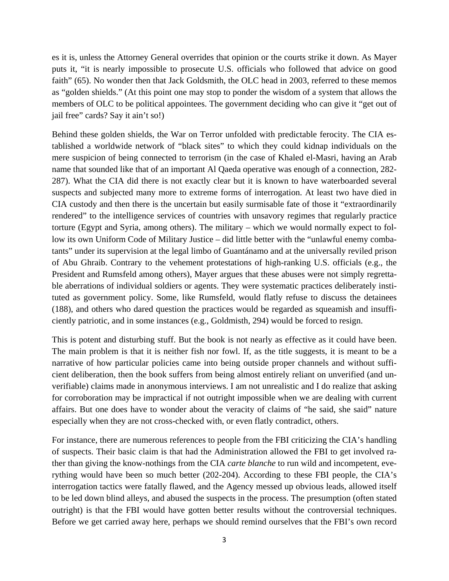es it is, unless the Attorney General overrides that opinion or the courts strike it down. As Mayer puts it, "it is nearly impossible to prosecute U.S. officials who followed that advice on good faith" (65). No wonder then that Jack Goldsmith, the OLC head in 2003, referred to these memos as "golden shields." (At this point one may stop to ponder the wisdom of a system that allows the members of OLC to be political appointees. The government deciding who can give it "get out of jail free" cards? Say it ain't so!)

Behind these golden shields, the War on Terror unfolded with predictable ferocity. The CIA established a worldwide network of "black sites" to which they could kidnap individuals on the mere suspicion of being connected to terrorism (in the case of Khaled el-Masri, having an Arab name that sounded like that of an important Al Qaeda operative was enough of a connection, 282- 287). What the CIA did there is not exactly clear but it is known to have waterboarded several suspects and subjected many more to extreme forms of interrogation. At least two have died in CIA custody and then there is the uncertain but easily surmisable fate of those it "extraordinarily rendered" to the intelligence services of countries with unsavory regimes that regularly practice torture (Egypt and Syria, among others). The military – which we would normally expect to follow its own Uniform Code of Military Justice – did little better with the "unlawful enemy combatants" under its supervision at the legal limbo of Guantánamo and at the universally reviled prison of Abu Ghraib. Contrary to the vehement protestations of high-ranking U.S. officials (e.g., the President and Rumsfeld among others), Mayer argues that these abuses were not simply regrettable aberrations of individual soldiers or agents. They were systematic practices deliberately instituted as government policy. Some, like Rumsfeld, would flatly refuse to discuss the detainees (188), and others who dared question the practices would be regarded as squeamish and insufficiently patriotic, and in some instances (e.g., Goldmisth, 294) would be forced to resign.

This is potent and disturbing stuff. But the book is not nearly as effective as it could have been. The main problem is that it is neither fish nor fowl. If, as the title suggests, it is meant to be a narrative of how particular policies came into being outside proper channels and without sufficient deliberation, then the book suffers from being almost entirely reliant on unverified (and unverifiable) claims made in anonymous interviews. I am not unrealistic and I do realize that asking for corroboration may be impractical if not outright impossible when we are dealing with current affairs. But one does have to wonder about the veracity of claims of "he said, she said" nature especially when they are not cross-checked with, or even flatly contradict, others.

For instance, there are numerous references to people from the FBI criticizing the CIA's handling of suspects. Their basic claim is that had the Administration allowed the FBI to get involved rather than giving the know-nothings from the CIA *carte blanche* to run wild and incompetent, everything would have been so much better (202-204). According to these FBI people, the CIA's interrogation tactics were fatally flawed, and the Agency messed up obvious leads, allowed itself to be led down blind alleys, and abused the suspects in the process. The presumption (often stated outright) is that the FBI would have gotten better results without the controversial techniques. Before we get carried away here, perhaps we should remind ourselves that the FBI's own record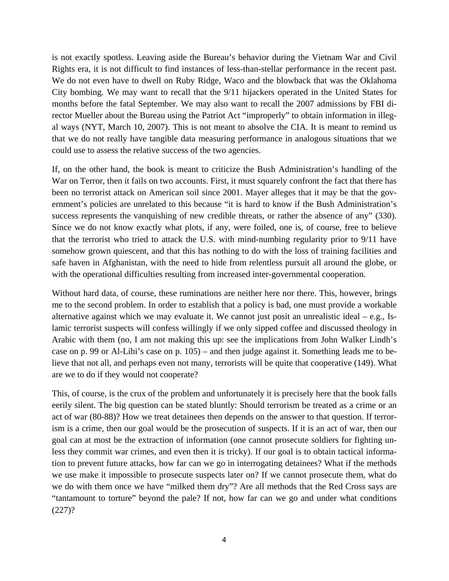is not exactly spotless. Leaving aside the Bureau's behavior during the Vietnam War and Civil Rights era, it is not difficult to find instances of less-than-stellar performance in the recent past. We do not even have to dwell on Ruby Ridge, Waco and the blowback that was the Oklahoma City bombing. We may want to recall that the 9/11 hijackers operated in the United States for months before the fatal September. We may also want to recall the 2007 admissions by FBI director Mueller about the Bureau using the Patriot Act "improperly" to obtain information in illegal ways (NYT, March 10, 2007). This is not meant to absolve the CIA. It is meant to remind us that we do not really have tangible data measuring performance in analogous situations that we could use to assess the relative success of the two agencies.

If, on the other hand, the book is meant to criticize the Bush Administration's handling of the War on Terror, then it fails on two accounts. First, it must squarely confront the fact that there has been no terrorist attack on American soil since 2001. Mayer alleges that it may be that the government's policies are unrelated to this because "it is hard to know if the Bush Administration's success represents the vanquishing of new credible threats, or rather the absence of any" (330). Since we do not know exactly what plots, if any, were foiled, one is, of course, free to believe that the terrorist who tried to attack the U.S. with mind-numbing regularity prior to 9/11 have somehow grown quiescent, and that this has nothing to do with the loss of training facilities and safe haven in Afghanistan, with the need to hide from relentless pursuit all around the globe, or with the operational difficulties resulting from increased inter-governmental cooperation.

Without hard data, of course, these ruminations are neither here nor there. This, however, brings me to the second problem. In order to establish that a policy is bad, one must provide a workable alternative against which we may evaluate it. We cannot just posit an unrealistic ideal  $-$  e.g., Islamic terrorist suspects will confess willingly if we only sipped coffee and discussed theology in Arabic with them (no, I am not making this up: see the implications from John Walker Lindh's case on p. 99 or Al-Libi's case on p. 105) – and then judge against it. Something leads me to believe that not all, and perhaps even not many, terrorists will be quite that cooperative (149). What are we to do if they would not cooperate?

This, of course, is the crux of the problem and unfortunately it is precisely here that the book falls eerily silent. The big question can be stated bluntly: Should terrorism be treated as a crime or an act of war (80-88)? How we treat detainees then depends on the answer to that question. If terrorism is a crime, then our goal would be the prosecution of suspects. If it is an act of war, then our goal can at most be the extraction of information (one cannot prosecute soldiers for fighting unless they commit war crimes, and even then it is tricky). If our goal is to obtain tactical information to prevent future attacks, how far can we go in interrogating detainees? What if the methods we use make it impossible to prosecute suspects later on? If we cannot prosecute them, what do we do with them once we have "milked them dry"? Are all methods that the Red Cross says are "tantamount to torture" beyond the pale? If not, how far can we go and under what conditions  $(227)?$